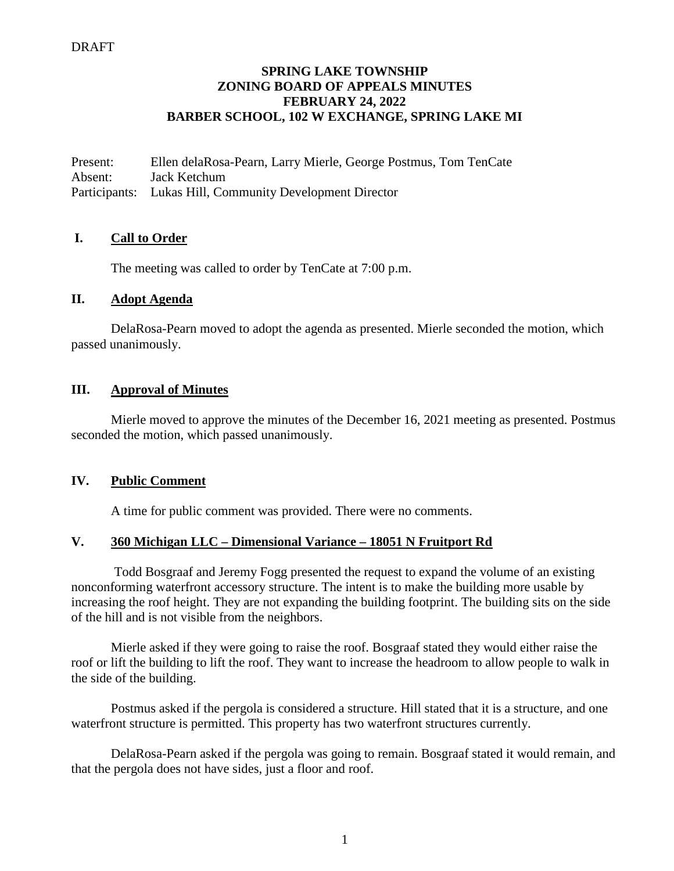## **SPRING LAKE TOWNSHIP ZONING BOARD OF APPEALS MINUTES FEBRUARY 24, 2022 BARBER SCHOOL, 102 W EXCHANGE, SPRING LAKE MI**

Present: Ellen delaRosa-Pearn, Larry Mierle, George Postmus, Tom TenCate Absent: Jack Ketchum Participants: Lukas Hill, Community Development Director

# **I. Call to Order**

The meeting was called to order by TenCate at 7:00 p.m.

#### **II. Adopt Agenda**

DelaRosa-Pearn moved to adopt the agenda as presented. Mierle seconded the motion, which passed unanimously.

# **III. Approval of Minutes**

Mierle moved to approve the minutes of the December 16, 2021 meeting as presented. Postmus seconded the motion, which passed unanimously.

## **IV. Public Comment**

A time for public comment was provided. There were no comments.

## **V. 360 Michigan LLC – Dimensional Variance – 18051 N Fruitport Rd**

Todd Bosgraaf and Jeremy Fogg presented the request to expand the volume of an existing nonconforming waterfront accessory structure. The intent is to make the building more usable by increasing the roof height. They are not expanding the building footprint. The building sits on the side of the hill and is not visible from the neighbors.

Mierle asked if they were going to raise the roof. Bosgraaf stated they would either raise the roof or lift the building to lift the roof. They want to increase the headroom to allow people to walk in the side of the building.

Postmus asked if the pergola is considered a structure. Hill stated that it is a structure, and one waterfront structure is permitted. This property has two waterfront structures currently.

DelaRosa-Pearn asked if the pergola was going to remain. Bosgraaf stated it would remain, and that the pergola does not have sides, just a floor and roof.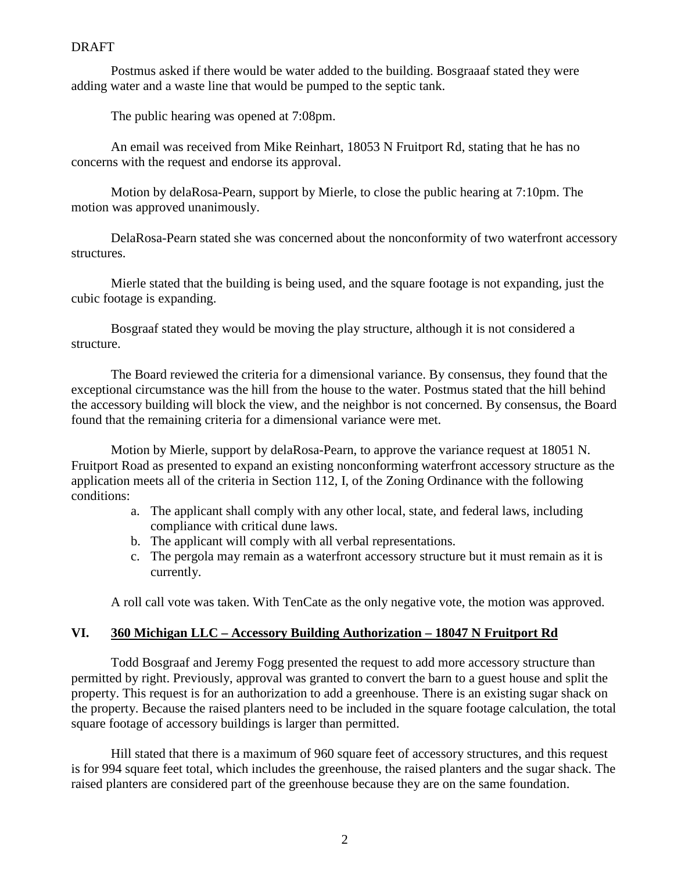#### **DRAFT**

Postmus asked if there would be water added to the building. Bosgraaaf stated they were adding water and a waste line that would be pumped to the septic tank.

The public hearing was opened at 7:08pm.

An email was received from Mike Reinhart, 18053 N Fruitport Rd, stating that he has no concerns with the request and endorse its approval.

Motion by delaRosa-Pearn, support by Mierle, to close the public hearing at 7:10pm. The motion was approved unanimously.

DelaRosa-Pearn stated she was concerned about the nonconformity of two waterfront accessory structures.

Mierle stated that the building is being used, and the square footage is not expanding, just the cubic footage is expanding.

Bosgraaf stated they would be moving the play structure, although it is not considered a structure.

The Board reviewed the criteria for a dimensional variance. By consensus, they found that the exceptional circumstance was the hill from the house to the water. Postmus stated that the hill behind the accessory building will block the view, and the neighbor is not concerned. By consensus, the Board found that the remaining criteria for a dimensional variance were met.

Motion by Mierle, support by delaRosa-Pearn, to approve the variance request at 18051 N. Fruitport Road as presented to expand an existing nonconforming waterfront accessory structure as the application meets all of the criteria in Section 112, I, of the Zoning Ordinance with the following conditions:

- a. The applicant shall comply with any other local, state, and federal laws, including compliance with critical dune laws.
- b. The applicant will comply with all verbal representations.
- c. The pergola may remain as a waterfront accessory structure but it must remain as it is currently.

A roll call vote was taken. With TenCate as the only negative vote, the motion was approved.

## **VI. 360 Michigan LLC – Accessory Building Authorization – 18047 N Fruitport Rd**

Todd Bosgraaf and Jeremy Fogg presented the request to add more accessory structure than permitted by right. Previously, approval was granted to convert the barn to a guest house and split the property. This request is for an authorization to add a greenhouse. There is an existing sugar shack on the property. Because the raised planters need to be included in the square footage calculation, the total square footage of accessory buildings is larger than permitted.

Hill stated that there is a maximum of 960 square feet of accessory structures, and this request is for 994 square feet total, which includes the greenhouse, the raised planters and the sugar shack. The raised planters are considered part of the greenhouse because they are on the same foundation.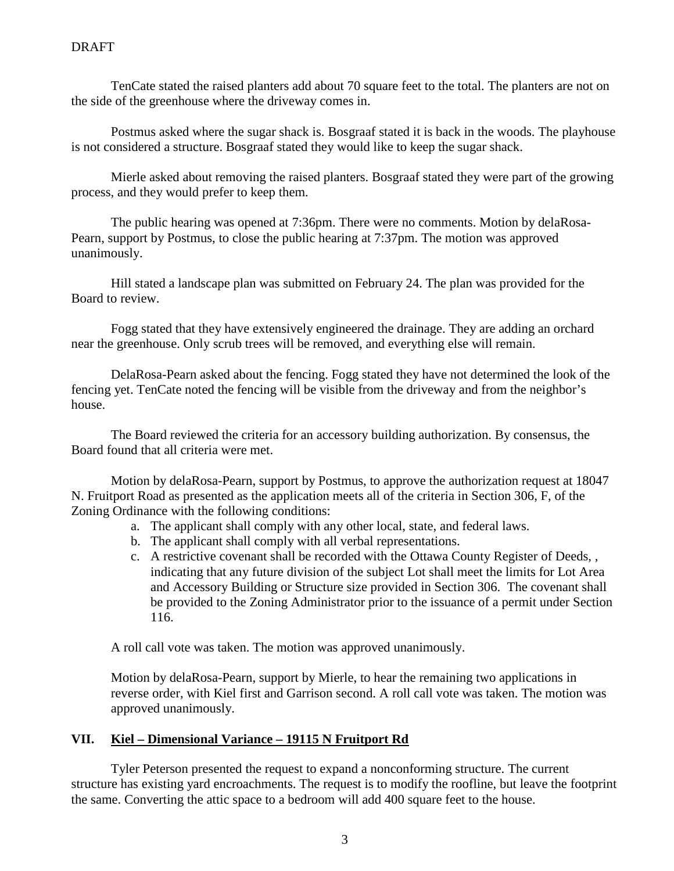TenCate stated the raised planters add about 70 square feet to the total. The planters are not on the side of the greenhouse where the driveway comes in.

Postmus asked where the sugar shack is. Bosgraaf stated it is back in the woods. The playhouse is not considered a structure. Bosgraaf stated they would like to keep the sugar shack.

Mierle asked about removing the raised planters. Bosgraaf stated they were part of the growing process, and they would prefer to keep them.

The public hearing was opened at 7:36pm. There were no comments. Motion by delaRosa-Pearn, support by Postmus, to close the public hearing at 7:37pm. The motion was approved unanimously.

Hill stated a landscape plan was submitted on February 24. The plan was provided for the Board to review.

Fogg stated that they have extensively engineered the drainage. They are adding an orchard near the greenhouse. Only scrub trees will be removed, and everything else will remain.

DelaRosa-Pearn asked about the fencing. Fogg stated they have not determined the look of the fencing yet. TenCate noted the fencing will be visible from the driveway and from the neighbor's house.

The Board reviewed the criteria for an accessory building authorization. By consensus, the Board found that all criteria were met.

Motion by delaRosa-Pearn, support by Postmus, to approve the authorization request at 18047 N. Fruitport Road as presented as the application meets all of the criteria in Section 306, F, of the Zoning Ordinance with the following conditions:

- a. The applicant shall comply with any other local, state, and federal laws.
- b. The applicant shall comply with all verbal representations.
- c. A restrictive covenant shall be recorded with the Ottawa County Register of Deeds, , indicating that any future division of the subject Lot shall meet the limits for Lot Area and Accessory Building or Structure size provided in Section 306. The covenant shall be provided to the Zoning Administrator prior to the issuance of a permit under Section 116.

A roll call vote was taken. The motion was approved unanimously.

Motion by delaRosa-Pearn, support by Mierle, to hear the remaining two applications in reverse order, with Kiel first and Garrison second. A roll call vote was taken. The motion was approved unanimously.

# **VII. Kiel – Dimensional Variance – 19115 N Fruitport Rd**

Tyler Peterson presented the request to expand a nonconforming structure. The current structure has existing yard encroachments. The request is to modify the roofline, but leave the footprint the same. Converting the attic space to a bedroom will add 400 square feet to the house.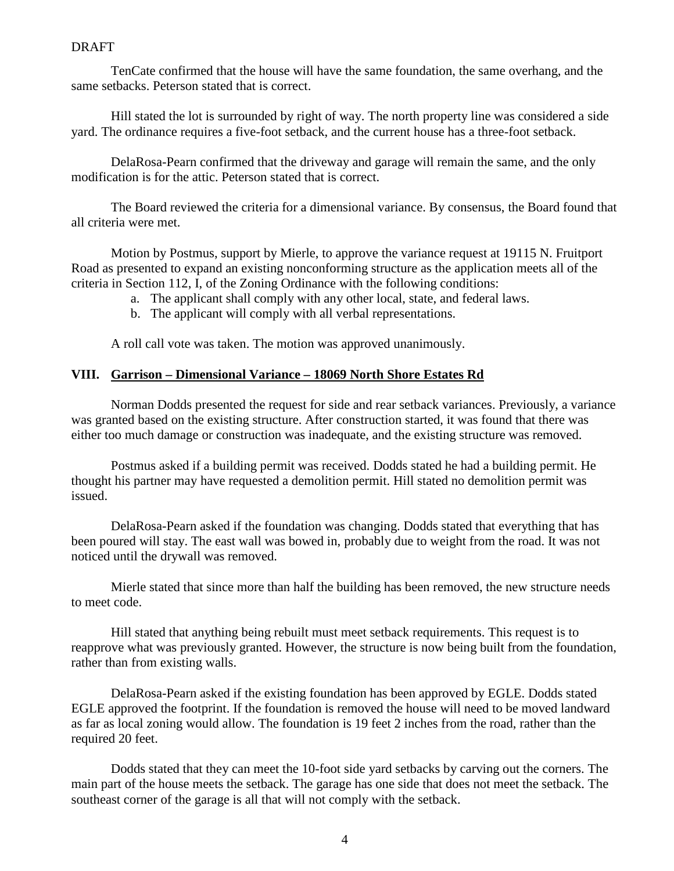#### **DRAFT**

TenCate confirmed that the house will have the same foundation, the same overhang, and the same setbacks. Peterson stated that is correct.

Hill stated the lot is surrounded by right of way. The north property line was considered a side yard. The ordinance requires a five-foot setback, and the current house has a three-foot setback.

DelaRosa-Pearn confirmed that the driveway and garage will remain the same, and the only modification is for the attic. Peterson stated that is correct.

The Board reviewed the criteria for a dimensional variance. By consensus, the Board found that all criteria were met.

Motion by Postmus, support by Mierle, to approve the variance request at 19115 N. Fruitport Road as presented to expand an existing nonconforming structure as the application meets all of the criteria in Section 112, I, of the Zoning Ordinance with the following conditions:

- a. The applicant shall comply with any other local, state, and federal laws.
- b. The applicant will comply with all verbal representations.

A roll call vote was taken. The motion was approved unanimously.

## **VIII. Garrison – Dimensional Variance – 18069 North Shore Estates Rd**

Norman Dodds presented the request for side and rear setback variances. Previously, a variance was granted based on the existing structure. After construction started, it was found that there was either too much damage or construction was inadequate, and the existing structure was removed.

Postmus asked if a building permit was received. Dodds stated he had a building permit. He thought his partner may have requested a demolition permit. Hill stated no demolition permit was issued.

DelaRosa-Pearn asked if the foundation was changing. Dodds stated that everything that has been poured will stay. The east wall was bowed in, probably due to weight from the road. It was not noticed until the drywall was removed.

Mierle stated that since more than half the building has been removed, the new structure needs to meet code.

Hill stated that anything being rebuilt must meet setback requirements. This request is to reapprove what was previously granted. However, the structure is now being built from the foundation, rather than from existing walls.

DelaRosa-Pearn asked if the existing foundation has been approved by EGLE. Dodds stated EGLE approved the footprint. If the foundation is removed the house will need to be moved landward as far as local zoning would allow. The foundation is 19 feet 2 inches from the road, rather than the required 20 feet.

Dodds stated that they can meet the 10-foot side yard setbacks by carving out the corners. The main part of the house meets the setback. The garage has one side that does not meet the setback. The southeast corner of the garage is all that will not comply with the setback.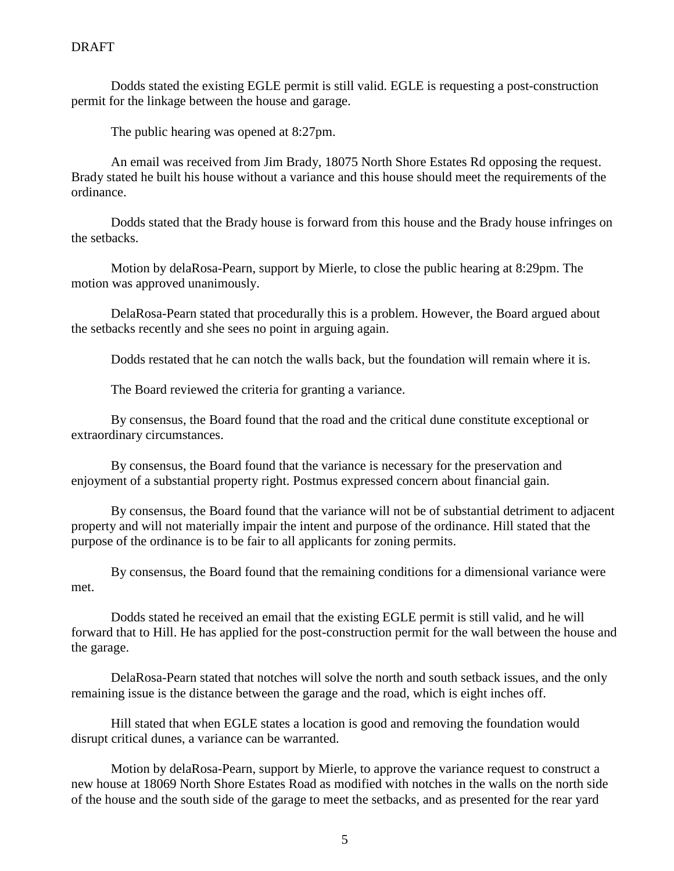Dodds stated the existing EGLE permit is still valid. EGLE is requesting a post-construction permit for the linkage between the house and garage.

The public hearing was opened at 8:27pm.

An email was received from Jim Brady, 18075 North Shore Estates Rd opposing the request. Brady stated he built his house without a variance and this house should meet the requirements of the ordinance.

Dodds stated that the Brady house is forward from this house and the Brady house infringes on the setbacks.

Motion by delaRosa-Pearn, support by Mierle, to close the public hearing at 8:29pm. The motion was approved unanimously.

DelaRosa-Pearn stated that procedurally this is a problem. However, the Board argued about the setbacks recently and she sees no point in arguing again.

Dodds restated that he can notch the walls back, but the foundation will remain where it is.

The Board reviewed the criteria for granting a variance.

By consensus, the Board found that the road and the critical dune constitute exceptional or extraordinary circumstances.

By consensus, the Board found that the variance is necessary for the preservation and enjoyment of a substantial property right. Postmus expressed concern about financial gain.

By consensus, the Board found that the variance will not be of substantial detriment to adjacent property and will not materially impair the intent and purpose of the ordinance. Hill stated that the purpose of the ordinance is to be fair to all applicants for zoning permits.

By consensus, the Board found that the remaining conditions for a dimensional variance were met.

Dodds stated he received an email that the existing EGLE permit is still valid, and he will forward that to Hill. He has applied for the post-construction permit for the wall between the house and the garage.

DelaRosa-Pearn stated that notches will solve the north and south setback issues, and the only remaining issue is the distance between the garage and the road, which is eight inches off.

Hill stated that when EGLE states a location is good and removing the foundation would disrupt critical dunes, a variance can be warranted.

Motion by delaRosa-Pearn, support by Mierle, to approve the variance request to construct a new house at 18069 North Shore Estates Road as modified with notches in the walls on the north side of the house and the south side of the garage to meet the setbacks, and as presented for the rear yard